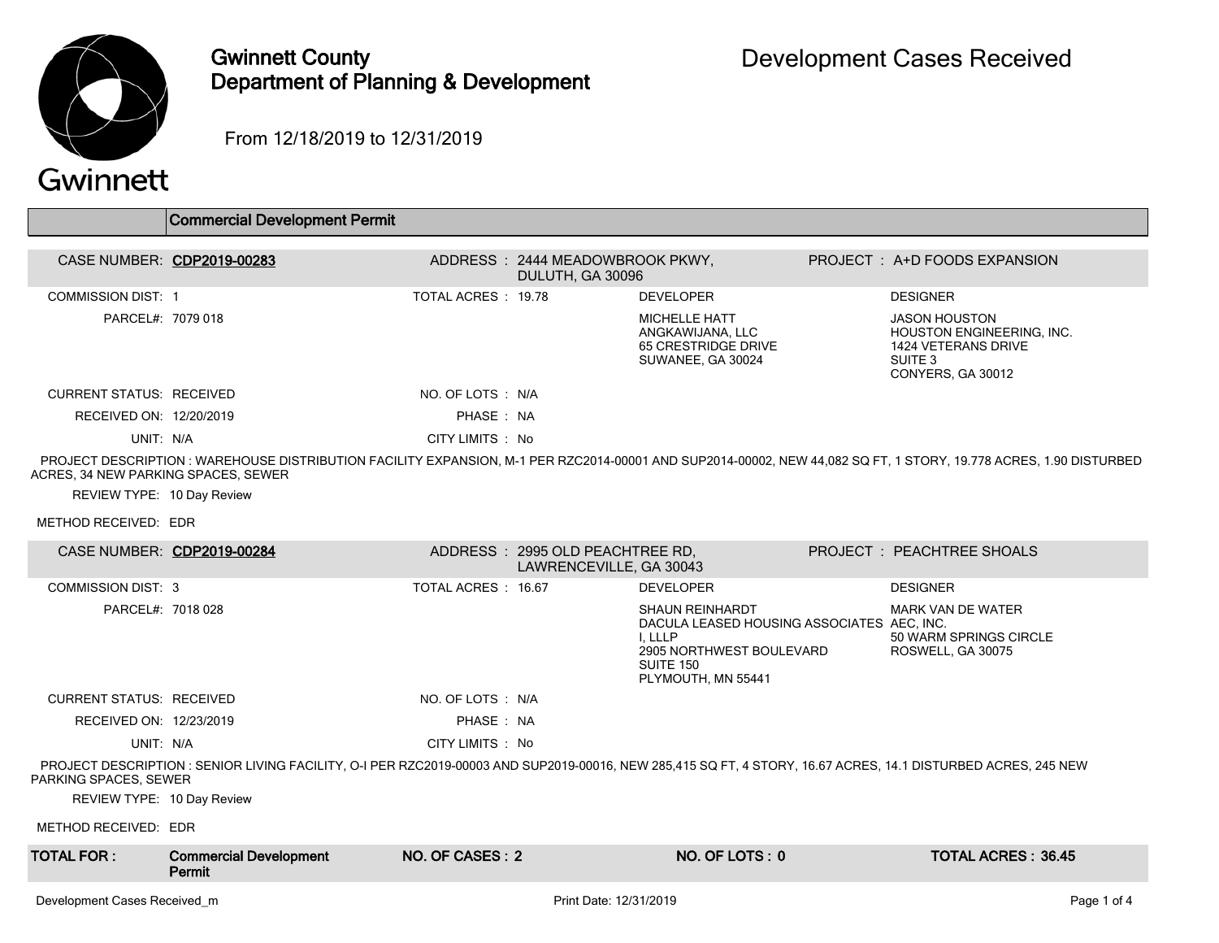

# Gwinnett County Department of Planning & Development

From 12/18/2019 to 12/31/2019

# Gwinnett

|                                     | <b>Commercial Development Permit</b>                                                                                                                         |                    |                                                             |                                                                                                                                                |                                                                                                                                                                   |
|-------------------------------------|--------------------------------------------------------------------------------------------------------------------------------------------------------------|--------------------|-------------------------------------------------------------|------------------------------------------------------------------------------------------------------------------------------------------------|-------------------------------------------------------------------------------------------------------------------------------------------------------------------|
| CASE NUMBER: CDP2019-00283          |                                                                                                                                                              |                    | ADDRESS: 2444 MEADOWBROOK PKWY,<br>DULUTH, GA 30096         |                                                                                                                                                | PROJECT : A+D FOODS EXPANSION                                                                                                                                     |
| <b>COMMISSION DIST: 1</b>           |                                                                                                                                                              | TOTAL ACRES: 19.78 |                                                             | <b>DEVELOPER</b>                                                                                                                               | <b>DESIGNER</b>                                                                                                                                                   |
| PARCEL#: 7079 018                   |                                                                                                                                                              |                    |                                                             | <b>MICHELLE HATT</b><br>ANGKAWIJANA, LLC<br>65 CRESTRIDGE DRIVE<br>SUWANEE, GA 30024                                                           | <b>JASON HOUSTON</b><br>HOUSTON ENGINEERING, INC.<br>1424 VETERANS DRIVE<br>SUITE 3<br>CONYERS, GA 30012                                                          |
| <b>CURRENT STATUS: RECEIVED</b>     |                                                                                                                                                              | NO. OF LOTS : N/A  |                                                             |                                                                                                                                                |                                                                                                                                                                   |
| RECEIVED ON: 12/20/2019             |                                                                                                                                                              | PHASE: NA          |                                                             |                                                                                                                                                |                                                                                                                                                                   |
| UNIT: N/A                           |                                                                                                                                                              | CITY LIMITS : No   |                                                             |                                                                                                                                                |                                                                                                                                                                   |
| ACRES, 34 NEW PARKING SPACES, SEWER |                                                                                                                                                              |                    |                                                             |                                                                                                                                                | PROJECT DESCRIPTION : WAREHOUSE DISTRIBUTION FACILITY EXPANSION, M-1 PER RZC2014-00001 AND SUP2014-00002, NEW 44,082 SQ FT, 1 STORY, 19.778 ACRES, 1.90 DISTURBED |
| REVIEW TYPE: 10 Day Review          |                                                                                                                                                              |                    |                                                             |                                                                                                                                                |                                                                                                                                                                   |
| METHOD RECEIVED: EDR                |                                                                                                                                                              |                    |                                                             |                                                                                                                                                |                                                                                                                                                                   |
| CASE NUMBER: CDP2019-00284          |                                                                                                                                                              |                    | ADDRESS : 2995 OLD PEACHTREE RD.<br>LAWRENCEVILLE, GA 30043 |                                                                                                                                                | PROJECT: PEACHTREE SHOALS                                                                                                                                         |
| <b>COMMISSION DIST: 3</b>           |                                                                                                                                                              | TOTAL ACRES: 16.67 |                                                             | <b>DEVELOPER</b>                                                                                                                               | <b>DESIGNER</b>                                                                                                                                                   |
| PARCEL#: 7018 028                   |                                                                                                                                                              |                    |                                                             | <b>SHAUN REINHARDT</b><br>DACULA LEASED HOUSING ASSOCIATES AEC, INC.<br>I. LLLP<br>2905 NORTHWEST BOULEVARD<br>SUITE 150<br>PLYMOUTH, MN 55441 | <b>MARK VAN DE WATER</b><br>50 WARM SPRINGS CIRCLE<br>ROSWELL, GA 30075                                                                                           |
| <b>CURRENT STATUS: RECEIVED</b>     |                                                                                                                                                              | NO. OF LOTS : N/A  |                                                             |                                                                                                                                                |                                                                                                                                                                   |
| RECEIVED ON: 12/23/2019             |                                                                                                                                                              | PHASE: NA          |                                                             |                                                                                                                                                |                                                                                                                                                                   |
| UNIT: N/A                           |                                                                                                                                                              | CITY LIMITS : No   |                                                             |                                                                                                                                                |                                                                                                                                                                   |
| PARKING SPACES, SEWER               | PROJECT DESCRIPTION: SENIOR LIVING FACILITY, O-I PER RZC2019-00003 AND SUP2019-00016, NEW 285,415 SQ FT, 4 STORY, 16.67 ACRES, 14.1 DISTURBED ACRES, 245 NEW |                    |                                                             |                                                                                                                                                |                                                                                                                                                                   |
| REVIEW TYPE: 10 Day Review          |                                                                                                                                                              |                    |                                                             |                                                                                                                                                |                                                                                                                                                                   |
| METHOD RECEIVED: EDR                |                                                                                                                                                              |                    |                                                             |                                                                                                                                                |                                                                                                                                                                   |
| <b>TOTAL FOR :</b>                  | <b>Commercial Development</b><br>Permit                                                                                                                      | NO. OF CASES: 2    |                                                             | NO. OF LOTS: 0                                                                                                                                 | <b>TOTAL ACRES: 36.45</b>                                                                                                                                         |
|                                     |                                                                                                                                                              |                    |                                                             |                                                                                                                                                |                                                                                                                                                                   |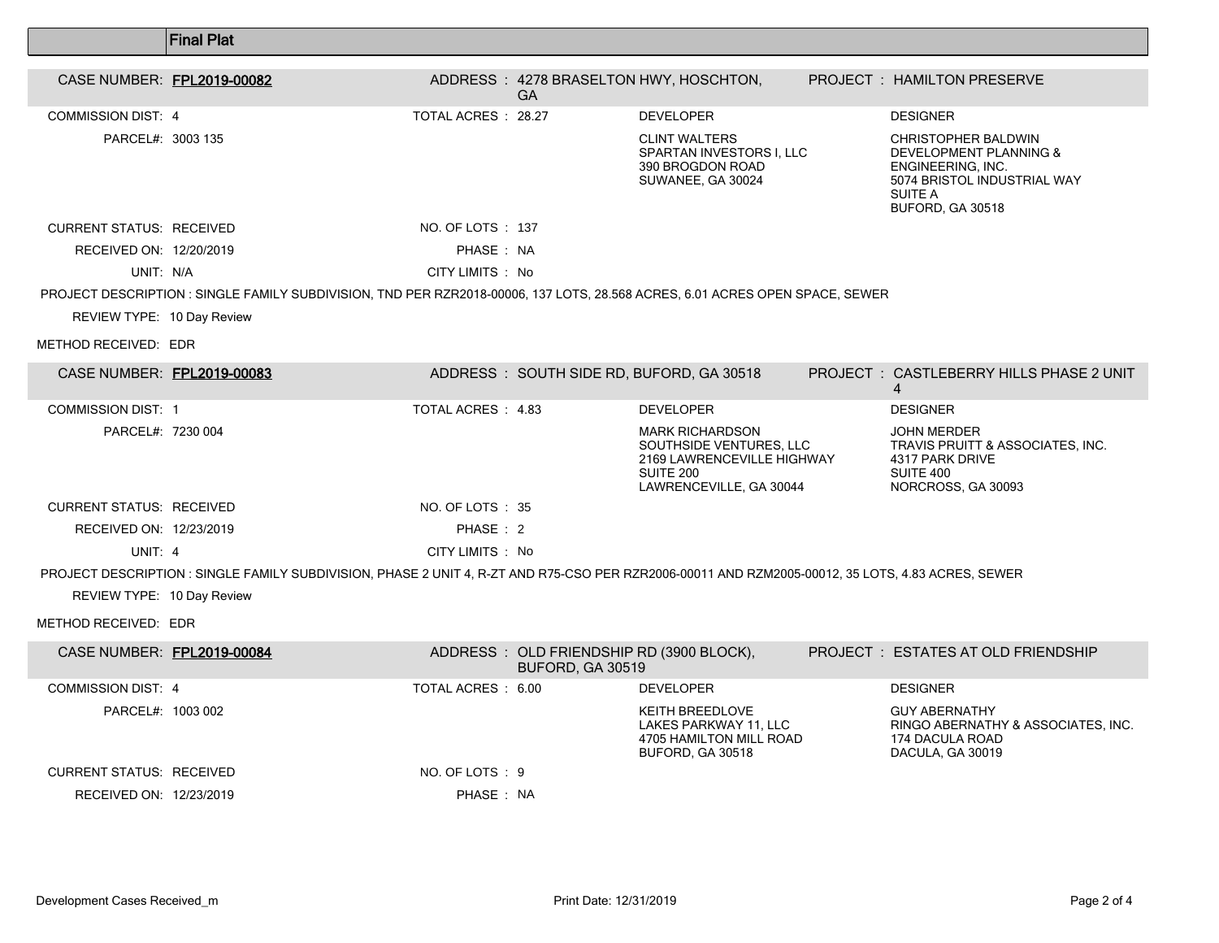|                                                    | <b>Final Plat</b>                                                                                                                                |                    |                  |                                                                                                                         |                                                                                                                                                    |
|----------------------------------------------------|--------------------------------------------------------------------------------------------------------------------------------------------------|--------------------|------------------|-------------------------------------------------------------------------------------------------------------------------|----------------------------------------------------------------------------------------------------------------------------------------------------|
| CASE NUMBER: FPL2019-00082                         |                                                                                                                                                  |                    | <b>GA</b>        | ADDRESS: 4278 BRASELTON HWY, HOSCHTON,                                                                                  | PROJECT : HAMILTON PRESERVE                                                                                                                        |
| <b>COMMISSION DIST: 4</b>                          |                                                                                                                                                  | TOTAL ACRES: 28.27 |                  | <b>DEVELOPER</b>                                                                                                        | <b>DESIGNER</b>                                                                                                                                    |
| PARCEL#: 3003 135                                  |                                                                                                                                                  |                    |                  | <b>CLINT WALTERS</b><br>SPARTAN INVESTORS I, LLC<br>390 BROGDON ROAD<br>SUWANEE, GA 30024                               | <b>CHRISTOPHER BALDWIN</b><br><b>DEVELOPMENT PLANNING &amp;</b><br>ENGINEERING. INC.<br>5074 BRISTOL INDUSTRIAL WAY<br>SUITE A<br>BUFORD, GA 30518 |
| <b>CURRENT STATUS: RECEIVED</b>                    |                                                                                                                                                  | NO. OF LOTS : 137  |                  |                                                                                                                         |                                                                                                                                                    |
| RECEIVED ON: 12/20/2019                            |                                                                                                                                                  | PHASE: NA          |                  |                                                                                                                         |                                                                                                                                                    |
| UNIT: N/A                                          |                                                                                                                                                  | CITY LIMITS : No   |                  |                                                                                                                         |                                                                                                                                                    |
| REVIEW TYPE: 10 Day Review<br>METHOD RECEIVED: EDR | PROJECT DESCRIPTION : SINGLE FAMILY SUBDIVISION, TND PER RZR2018-00006, 137 LOTS, 28.568 ACRES, 6.01 ACRES OPEN SPACE, SEWER                     |                    |                  |                                                                                                                         |                                                                                                                                                    |
| CASE NUMBER: FPL2019-00083                         |                                                                                                                                                  |                    |                  | ADDRESS: SOUTH SIDE RD, BUFORD, GA 30518                                                                                | PROJECT: CASTLEBERRY HILLS PHASE 2 UNIT<br>4                                                                                                       |
| <b>COMMISSION DIST: 1</b>                          |                                                                                                                                                  | TOTAL ACRES : 4.83 |                  | <b>DEVELOPER</b>                                                                                                        | <b>DESIGNER</b>                                                                                                                                    |
| PARCEL#: 7230 004                                  |                                                                                                                                                  |                    |                  | <b>MARK RICHARDSON</b><br>SOUTHSIDE VENTURES. LLC<br>2169 LAWRENCEVILLE HIGHWAY<br>SUITE 200<br>LAWRENCEVILLE, GA 30044 | <b>JOHN MERDER</b><br>TRAVIS PRUITT & ASSOCIATES, INC.<br>4317 PARK DRIVE<br>SUITE 400<br>NORCROSS, GA 30093                                       |
| <b>CURRENT STATUS: RECEIVED</b>                    |                                                                                                                                                  | NO. OF LOTS : 35   |                  |                                                                                                                         |                                                                                                                                                    |
| RECEIVED ON: 12/23/2019                            |                                                                                                                                                  | PHASE: 2           |                  |                                                                                                                         |                                                                                                                                                    |
| UNIT: 4                                            |                                                                                                                                                  | CITY LIMITS : No   |                  |                                                                                                                         |                                                                                                                                                    |
|                                                    | PROJECT DESCRIPTION: SINGLE FAMILY SUBDIVISION, PHASE 2 UNIT 4, R-ZT AND R75-CSO PER RZR2006-00011 AND RZM2005-00012, 35 LOTS, 4.83 ACRES, SEWER |                    |                  |                                                                                                                         |                                                                                                                                                    |
| REVIEW TYPE: 10 Day Review                         |                                                                                                                                                  |                    |                  |                                                                                                                         |                                                                                                                                                    |
| METHOD RECEIVED: EDR                               |                                                                                                                                                  |                    |                  |                                                                                                                         |                                                                                                                                                    |
| CASE NUMBER: FPL2019-00084                         |                                                                                                                                                  |                    | BUFORD, GA 30519 | ADDRESS : OLD FRIENDSHIP RD (3900 BLOCK),                                                                               | <b>PROJECT : ESTATES AT OLD FRIENDSHIP</b>                                                                                                         |
| <b>COMMISSION DIST: 4</b>                          |                                                                                                                                                  | TOTAL ACRES : 6.00 |                  | <b>DEVELOPER</b>                                                                                                        | <b>DESIGNER</b>                                                                                                                                    |
| PARCEL#: 1003 002                                  |                                                                                                                                                  |                    |                  | KEITH BREEDLOVE<br>LAKES PARKWAY 11, LLC<br>4705 HAMILTON MILL ROAD<br><b>BUFORD, GA 30518</b>                          | <b>GUY ABERNATHY</b><br>RINGO ABERNATHY & ASSOCIATES, INC.<br>174 DACULA ROAD<br>DACULA, GA 30019                                                  |
| <b>CURRENT STATUS: RECEIVED</b>                    |                                                                                                                                                  | NO. OF LOTS : 9    |                  |                                                                                                                         |                                                                                                                                                    |

RECEIVED ON: 12/23/2019 **PHASE** : NA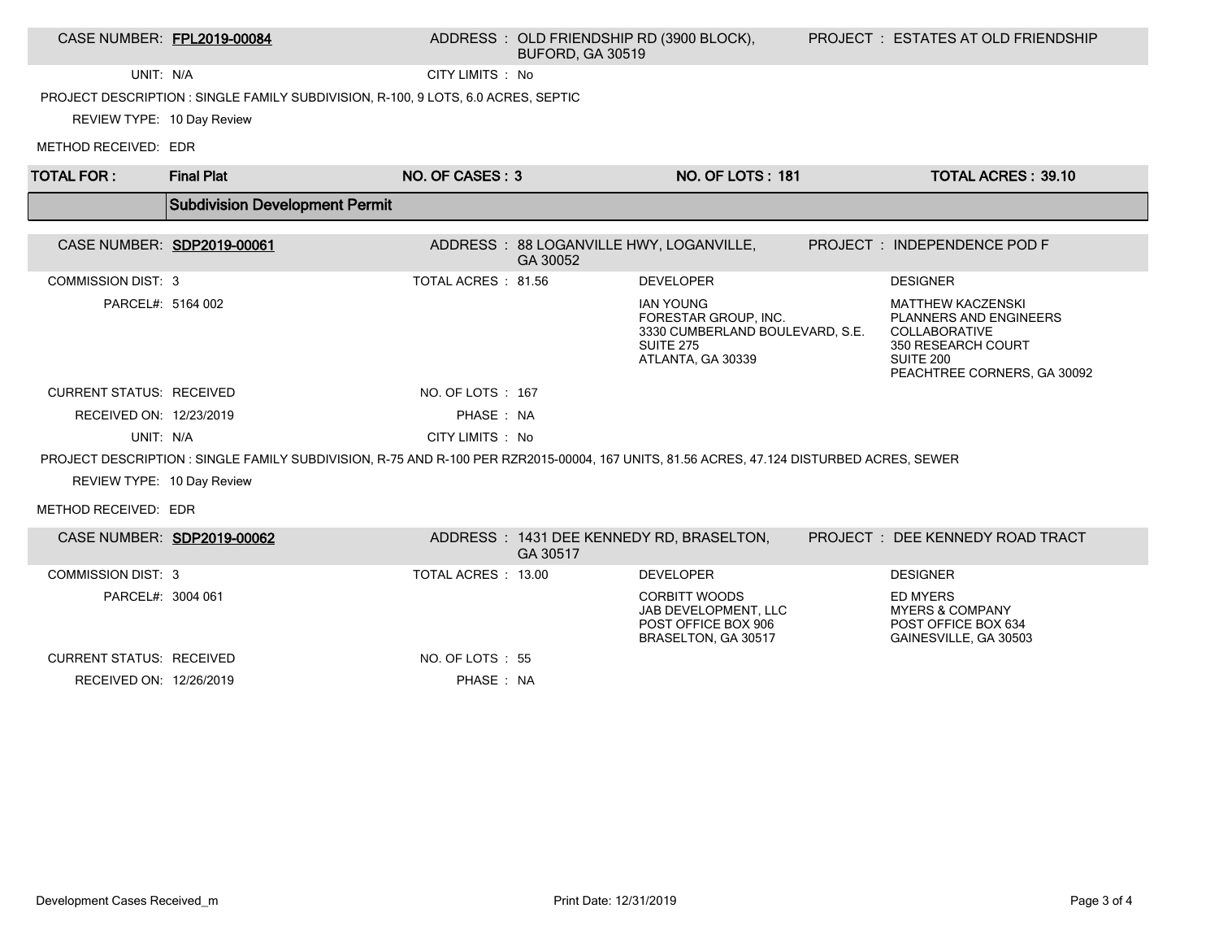### CASE NUMBER: FPL2019-00084 ADDRESS : OLD FRIENDSHIP RD (3900 BLOCK), BUFORD, GA 30519

UNIT: N/A CITY LIMITS : No

PROJECT DESCRIPTION : SINGLE FAMILY SUBDIVISION, R-100, 9 LOTS, 6.0 ACRES, SEPTIC

REVIEW TYPE: 10 Day Review

METHOD RECEIVED: EDR

| <b>TOTAL FOR:</b>               | <b>Final Plat</b>                                                                                                                       | NO. OF CASES: 3     |          | <b>NO. OF LOTS: 181</b>                                                                                              | <b>TOTAL ACRES: 39.10</b>                                                                                                                           |
|---------------------------------|-----------------------------------------------------------------------------------------------------------------------------------------|---------------------|----------|----------------------------------------------------------------------------------------------------------------------|-----------------------------------------------------------------------------------------------------------------------------------------------------|
|                                 | <b>Subdivision Development Permit</b>                                                                                                   |                     |          |                                                                                                                      |                                                                                                                                                     |
|                                 | CASE NUMBER: SDP2019-00061                                                                                                              |                     | GA 30052 | ADDRESS: 88 LOGANVILLE HWY, LOGANVILLE,                                                                              | PROJECT: INDEPENDENCE POD F                                                                                                                         |
| <b>COMMISSION DIST: 3</b>       |                                                                                                                                         | TOTAL ACRES : 81.56 |          | <b>DEVELOPER</b>                                                                                                     | <b>DESIGNER</b>                                                                                                                                     |
| PARCEL#: 5164 002               |                                                                                                                                         |                     |          | <b>IAN YOUNG</b><br>FORESTAR GROUP, INC.<br>3330 CUMBERLAND BOULEVARD, S.E.<br><b>SUITE 275</b><br>ATLANTA, GA 30339 | <b>MATTHEW KACZENSKI</b><br><b>PLANNERS AND ENGINEERS</b><br><b>COLLABORATIVE</b><br>350 RESEARCH COURT<br>SUITE 200<br>PEACHTREE CORNERS, GA 30092 |
| <b>CURRENT STATUS: RECEIVED</b> |                                                                                                                                         | NO. OF LOTS : 167   |          |                                                                                                                      |                                                                                                                                                     |
| RECEIVED ON: 12/23/2019         |                                                                                                                                         | PHASE: NA           |          |                                                                                                                      |                                                                                                                                                     |
| UNIT: N/A                       |                                                                                                                                         | CITY LIMITS : No    |          |                                                                                                                      |                                                                                                                                                     |
|                                 | PROJECT DESCRIPTION: SINGLE FAMILY SUBDIVISION, R-75 AND R-100 PER RZR2015-00004, 167 UNITS, 81.56 ACRES, 47.124 DISTURBED ACRES, SEWER |                     |          |                                                                                                                      |                                                                                                                                                     |
| REVIEW TYPE: 10 Day Review      |                                                                                                                                         |                     |          |                                                                                                                      |                                                                                                                                                     |
| METHOD RECEIVED: EDR            |                                                                                                                                         |                     |          |                                                                                                                      |                                                                                                                                                     |
|                                 | CASE NUMBER: SDP2019-00062                                                                                                              |                     | GA 30517 | ADDRESS: 1431 DEE KENNEDY RD, BRASELTON,                                                                             | PROJECT: DEE KENNEDY ROAD TRACT                                                                                                                     |
| <b>COMMISSION DIST: 3</b>       |                                                                                                                                         | TOTAL ACRES : 13.00 |          | <b>DEVELOPER</b>                                                                                                     | <b>DESIGNER</b>                                                                                                                                     |
| PARCEL#: 3004 061               |                                                                                                                                         |                     |          | <b>CORBITT WOODS</b><br>JAB DEVELOPMENT, LLC<br>POST OFFICE BOX 906<br>BRASELTON, GA 30517                           | <b>ED MYERS</b><br><b>MYERS &amp; COMPANY</b><br>POST OFFICE BOX 634<br>GAINESVILLE, GA 30503                                                       |
| <b>CURRENT STATUS: RECEIVED</b> |                                                                                                                                         | NO. OF LOTS: 55     |          |                                                                                                                      |                                                                                                                                                     |
| RECEIVED ON: 12/26/2019         |                                                                                                                                         | PHASE: NA           |          |                                                                                                                      |                                                                                                                                                     |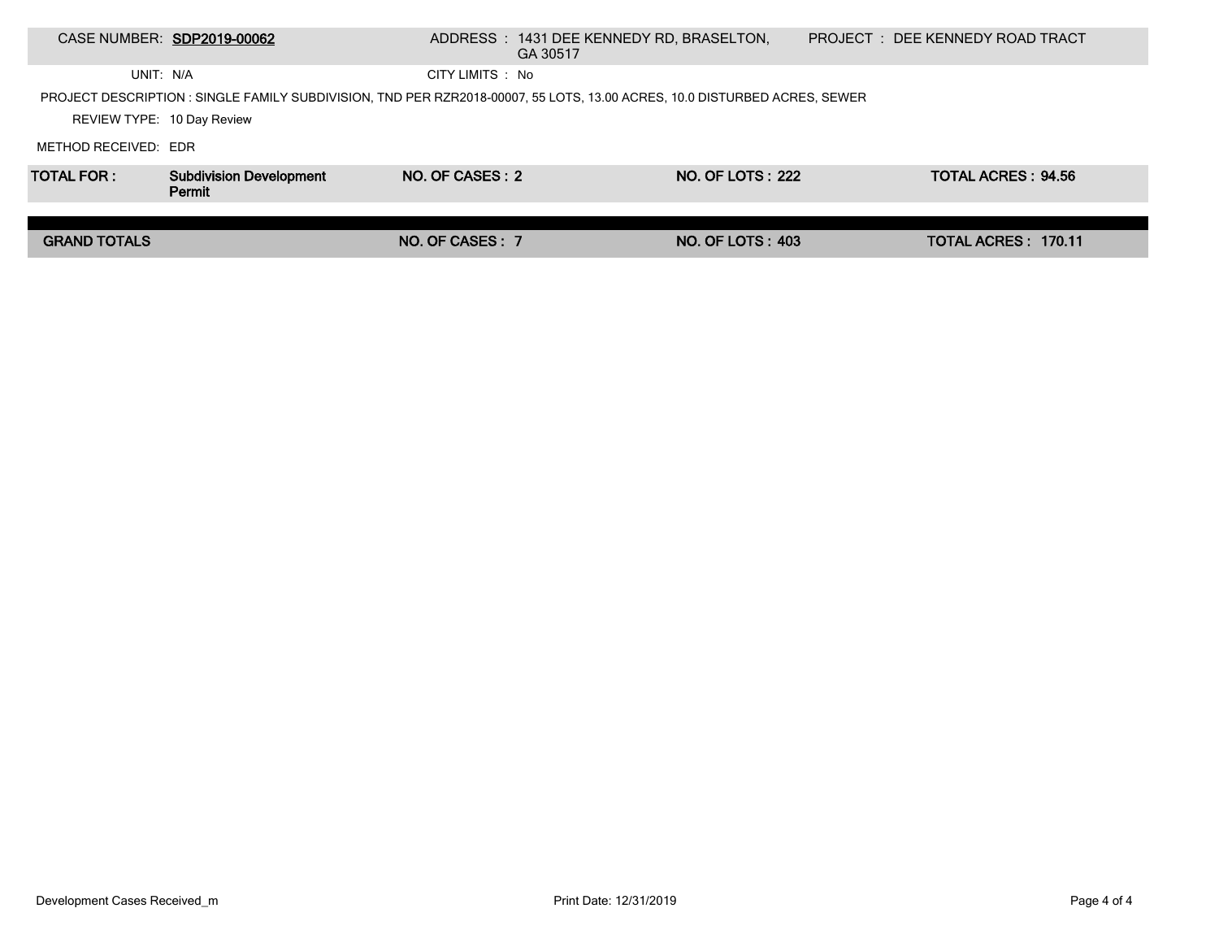|                            | CASE NUMBER: SDP2019-00062                                                                                               |                  | ADDRESS : 1431 DEE KENNEDY RD, BRASELTON,<br>GA 30517 |                         | PROJECT: DEE KENNEDY ROAD TRACT |  |
|----------------------------|--------------------------------------------------------------------------------------------------------------------------|------------------|-------------------------------------------------------|-------------------------|---------------------------------|--|
| UNIT: N/A                  |                                                                                                                          | CITY LIMITS : No |                                                       |                         |                                 |  |
|                            | PROJECT DESCRIPTION: SINGLE FAMILY SUBDIVISION, TND PER RZR2018-00007, 55 LOTS, 13.00 ACRES, 10.0 DISTURBED ACRES, SEWER |                  |                                                       |                         |                                 |  |
| REVIEW TYPE: 10 Day Review |                                                                                                                          |                  |                                                       |                         |                                 |  |
| METHOD RECEIVED: EDR       |                                                                                                                          |                  |                                                       |                         |                                 |  |
| <b>TOTAL FOR:</b>          | <b>Subdivision Development</b><br>Permit                                                                                 | NO. OF CASES: 2  |                                                       | <b>NO. OF LOTS: 222</b> | TOTAL ACRES: 94.56              |  |
|                            |                                                                                                                          |                  |                                                       |                         |                                 |  |
| <b>GRAND TOTALS</b>        |                                                                                                                          | NO. OF CASES : 7 |                                                       | <b>NO. OF LOTS: 403</b> | TOTAL ACRES: 170.11             |  |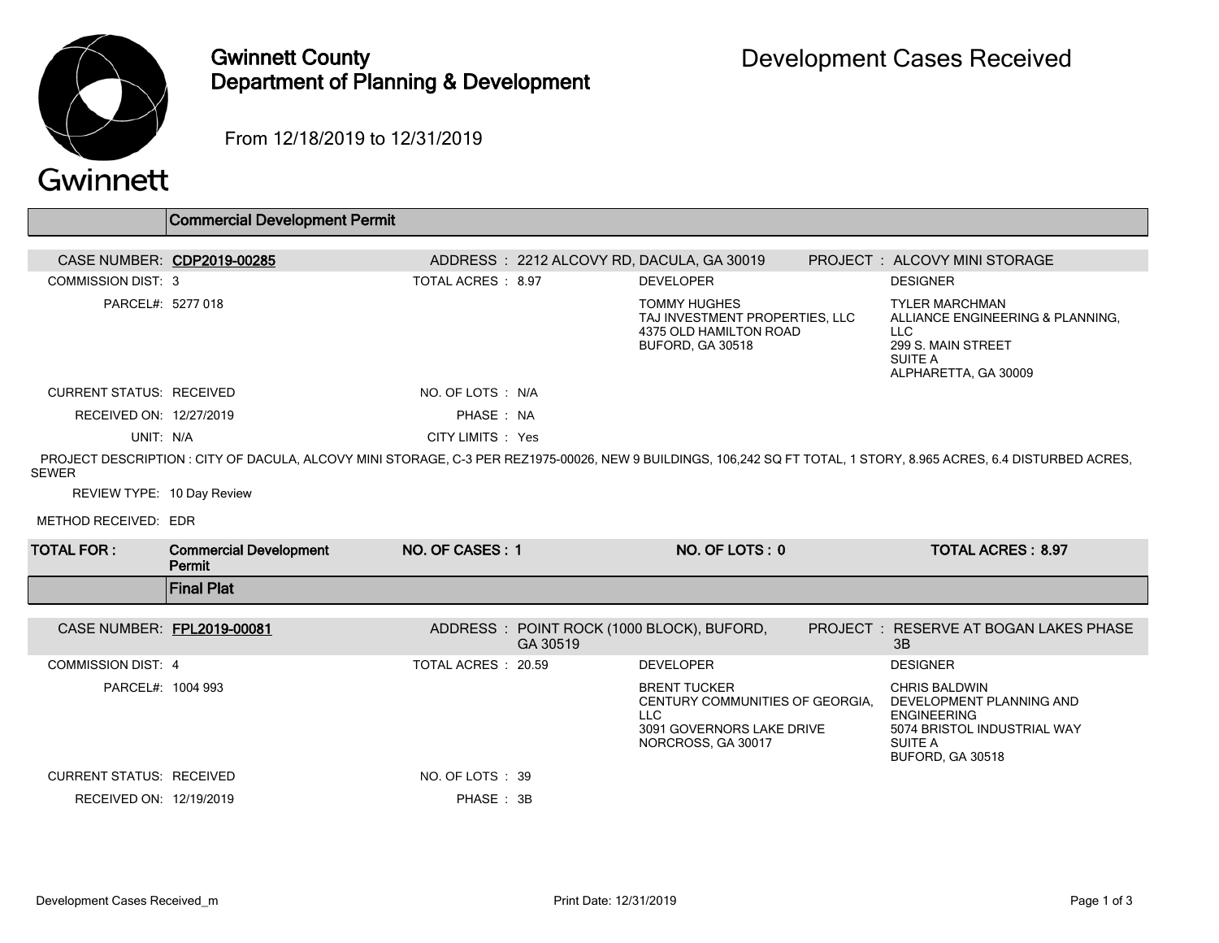

## Gwinnett County Department of Planning & Development

From 12/18/2019 to 12/31/2019

|                                                                    | <b>Commercial Development Permit</b>    |                    |          |                                                                                                                         |                                                                                                                                             |
|--------------------------------------------------------------------|-----------------------------------------|--------------------|----------|-------------------------------------------------------------------------------------------------------------------------|---------------------------------------------------------------------------------------------------------------------------------------------|
|                                                                    | CASE NUMBER: CDP2019-00285              |                    |          | ADDRESS: 2212 ALCOVY RD, DACULA, GA 30019                                                                               | PROJECT : ALCOVY MINI STORAGE                                                                                                               |
| <b>COMMISSION DIST: 3</b>                                          |                                         | TOTAL ACRES: 8.97  |          | <b>DEVELOPER</b>                                                                                                        | <b>DESIGNER</b>                                                                                                                             |
| PARCEL#: 5277 018                                                  |                                         |                    |          | <b>TOMMY HUGHES</b><br>TAJ INVESTMENT PROPERTIES. LLC<br>4375 OLD HAMILTON ROAD<br><b>BUFORD, GA 30518</b>              | <b>TYLER MARCHMAN</b><br>ALLIANCE ENGINEERING & PLANNING,<br><b>LLC</b><br>299 S. MAIN STREET<br><b>SUITE A</b><br>ALPHARETTA, GA 30009     |
| <b>CURRENT STATUS: RECEIVED</b>                                    |                                         | NO. OF LOTS : N/A  |          |                                                                                                                         |                                                                                                                                             |
| RECEIVED ON: 12/27/2019                                            |                                         | PHASE: NA          |          |                                                                                                                         |                                                                                                                                             |
| UNIT: N/A                                                          |                                         | CITY LIMITS : Yes  |          |                                                                                                                         |                                                                                                                                             |
| <b>SEWER</b><br>REVIEW TYPE: 10 Day Review<br>METHOD RECEIVED: EDR |                                         |                    |          |                                                                                                                         |                                                                                                                                             |
| <b>TOTAL FOR:</b>                                                  | <b>Commercial Development</b><br>Permit | NO. OF CASES: 1    |          | NO. OF LOTS: 0                                                                                                          | <b>TOTAL ACRES: 8.97</b>                                                                                                                    |
|                                                                    | <b>Final Plat</b>                       |                    |          |                                                                                                                         |                                                                                                                                             |
| CASE NUMBER: FPL2019-00081                                         |                                         |                    | GA 30519 | ADDRESS : POINT ROCK (1000 BLOCK), BUFORD,                                                                              | PROJECT: RESERVE AT BOGAN LAKES PHASE<br>3B                                                                                                 |
| <b>COMMISSION DIST: 4</b>                                          |                                         | TOTAL ACRES: 20.59 |          | <b>DEVELOPER</b>                                                                                                        | <b>DESIGNER</b>                                                                                                                             |
| PARCEL#: 1004 993                                                  |                                         |                    |          | <b>BRENT TUCKER</b><br>CENTURY COMMUNITIES OF GEORGIA.<br><b>LLC</b><br>3091 GOVERNORS LAKE DRIVE<br>NORCROSS, GA 30017 | <b>CHRIS BALDWIN</b><br>DEVELOPMENT PLANNING AND<br><b>ENGINEERING</b><br>5074 BRISTOL INDUSTRIAL WAY<br><b>SUITE A</b><br>BUFORD, GA 30518 |
| <b>CURRENT STATUS: RECEIVED</b>                                    |                                         | NO. OF LOTS : 39   |          |                                                                                                                         |                                                                                                                                             |
| RECEIVED ON: 12/19/2019                                            |                                         | PHASE: 3B          |          |                                                                                                                         |                                                                                                                                             |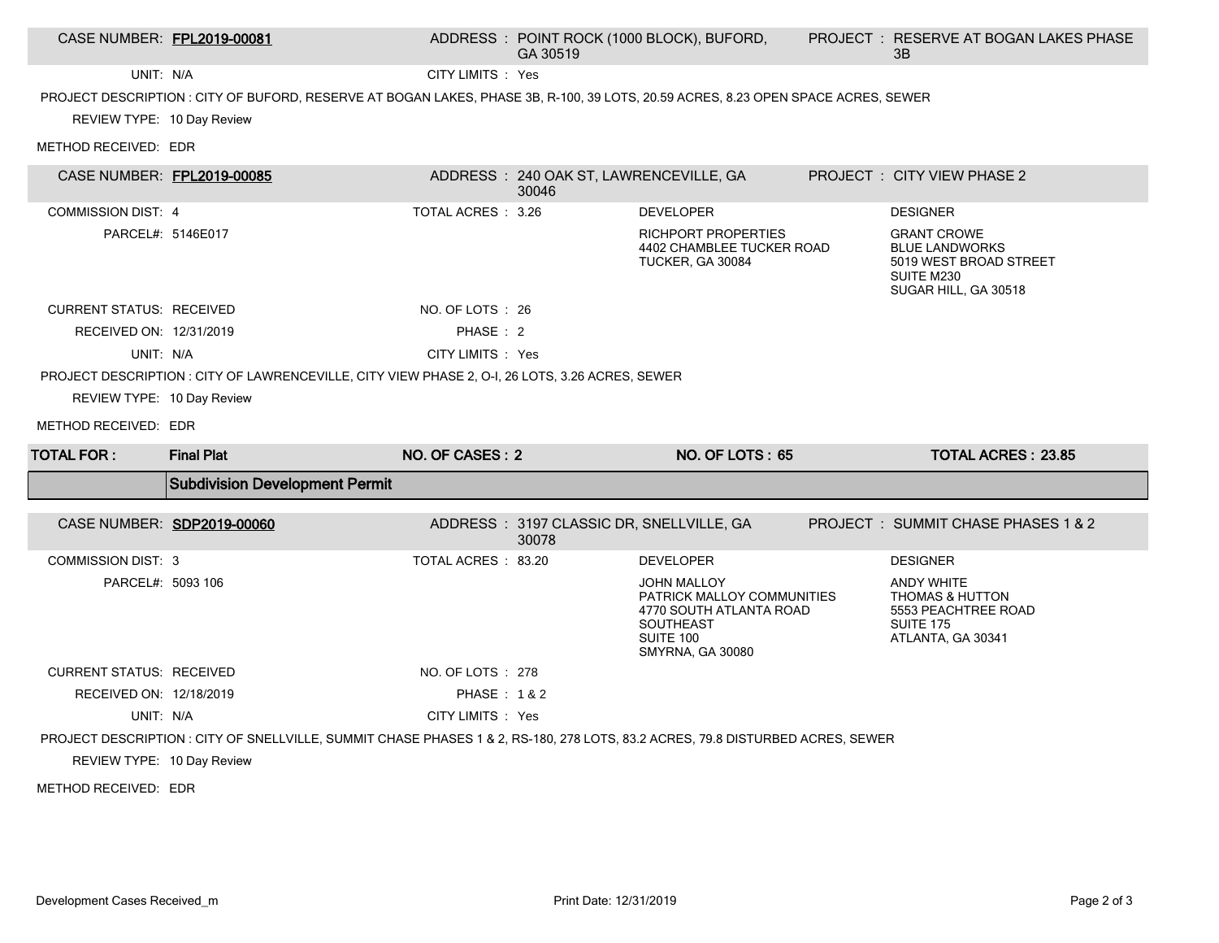| CASE NUMBER: FPL2019-00081      |                                                                                                                                   |                       | GA 30519                                          | ADDRESS : POINT ROCK (1000 BLOCK), BUFORD,                                                                                       | <b>PROJECT : RESERVE AT BOGAN LAKES PHASE</b><br>3B                                                             |
|---------------------------------|-----------------------------------------------------------------------------------------------------------------------------------|-----------------------|---------------------------------------------------|----------------------------------------------------------------------------------------------------------------------------------|-----------------------------------------------------------------------------------------------------------------|
| UNIT: N/A                       |                                                                                                                                   | CITY LIMITS : Yes     |                                                   |                                                                                                                                  |                                                                                                                 |
|                                 | PROJECT DESCRIPTION : CITY OF BUFORD, RESERVE AT BOGAN LAKES, PHASE 3B, R-100, 39 LOTS, 20.59 ACRES, 8.23 OPEN SPACE ACRES, SEWER |                       |                                                   |                                                                                                                                  |                                                                                                                 |
| REVIEW TYPE: 10 Day Review      |                                                                                                                                   |                       |                                                   |                                                                                                                                  |                                                                                                                 |
| METHOD RECEIVED: EDR            |                                                                                                                                   |                       |                                                   |                                                                                                                                  |                                                                                                                 |
| CASE NUMBER: FPL2019-00085      |                                                                                                                                   |                       | ADDRESS: 240 OAK ST, LAWRENCEVILLE, GA<br>30046   |                                                                                                                                  | PROJECT : CITY VIEW PHASE 2                                                                                     |
| <b>COMMISSION DIST: 4</b>       |                                                                                                                                   | TOTAL ACRES : 3.26    |                                                   | <b>DEVELOPER</b>                                                                                                                 | <b>DESIGNER</b>                                                                                                 |
|                                 | PARCEL#: 5146E017                                                                                                                 |                       |                                                   | <b>RICHPORT PROPERTIES</b><br>4402 CHAMBLEE TUCKER ROAD<br>TUCKER, GA 30084                                                      | <b>GRANT CROWE</b><br><b>BLUE LANDWORKS</b><br>5019 WEST BROAD STREET<br>SUITE M230<br>SUGAR HILL, GA 30518     |
| <b>CURRENT STATUS: RECEIVED</b> |                                                                                                                                   | NO. OF LOTS : 26      |                                                   |                                                                                                                                  |                                                                                                                 |
| RECEIVED ON: 12/31/2019         |                                                                                                                                   | PHASE: 2              |                                                   |                                                                                                                                  |                                                                                                                 |
| UNIT: N/A                       |                                                                                                                                   | CITY LIMITS : Yes     |                                                   |                                                                                                                                  |                                                                                                                 |
|                                 | PROJECT DESCRIPTION : CITY OF LAWRENCEVILLE, CITY VIEW PHASE 2, O-I, 26 LOTS, 3.26 ACRES, SEWER                                   |                       |                                                   |                                                                                                                                  |                                                                                                                 |
| REVIEW TYPE: 10 Day Review      |                                                                                                                                   |                       |                                                   |                                                                                                                                  |                                                                                                                 |
|                                 |                                                                                                                                   |                       |                                                   |                                                                                                                                  |                                                                                                                 |
| METHOD RECEIVED: EDR            |                                                                                                                                   |                       |                                                   |                                                                                                                                  |                                                                                                                 |
| <b>TOTAL FOR:</b>               | <b>Final Plat</b>                                                                                                                 | NO. OF CASES: 2       |                                                   | NO. OF LOTS: 65                                                                                                                  | <b>TOTAL ACRES: 23.85</b>                                                                                       |
|                                 | <b>Subdivision Development Permit</b>                                                                                             |                       |                                                   |                                                                                                                                  |                                                                                                                 |
|                                 | CASE NUMBER: SDP2019-00060                                                                                                        |                       | ADDRESS: 3197 CLASSIC DR, SNELLVILLE, GA<br>30078 |                                                                                                                                  | PROJECT: SUMMIT CHASE PHASES 1 & 2                                                                              |
| <b>COMMISSION DIST: 3</b>       |                                                                                                                                   | TOTAL ACRES: 83.20    |                                                   | <b>DEVELOPER</b>                                                                                                                 | <b>DESIGNER</b>                                                                                                 |
| PARCEL#: 5093 106               |                                                                                                                                   |                       |                                                   | <b>JOHN MALLOY</b><br>PATRICK MALLOY COMMUNITIES<br>4770 SOUTH ATLANTA ROAD<br>SOUTHEAST<br>SUITE 100<br><b>SMYRNA, GA 30080</b> | <b>ANDY WHITE</b><br><b>THOMAS &amp; HUTTON</b><br>5553 PEACHTREE ROAD<br><b>SUITE 175</b><br>ATLANTA, GA 30341 |
| <b>CURRENT STATUS: RECEIVED</b> |                                                                                                                                   | NO. OF LOTS : 278     |                                                   |                                                                                                                                  |                                                                                                                 |
| RECEIVED ON: 12/18/2019         |                                                                                                                                   | <b>PHASE: 1&amp;2</b> |                                                   |                                                                                                                                  |                                                                                                                 |
| UNIT: N/A                       |                                                                                                                                   | CITY LIMITS : Yes     |                                                   |                                                                                                                                  |                                                                                                                 |
|                                 | PROJECT DESCRIPTION : CITY OF SNELLVILLE, SUMMIT CHASE PHASES 1 & 2, RS-180, 278 LOTS, 83.2 ACRES, 79.8 DISTURBED ACRES, SEWER    |                       |                                                   |                                                                                                                                  |                                                                                                                 |
| REVIEW TYPE: 10 Day Review      |                                                                                                                                   |                       |                                                   |                                                                                                                                  |                                                                                                                 |